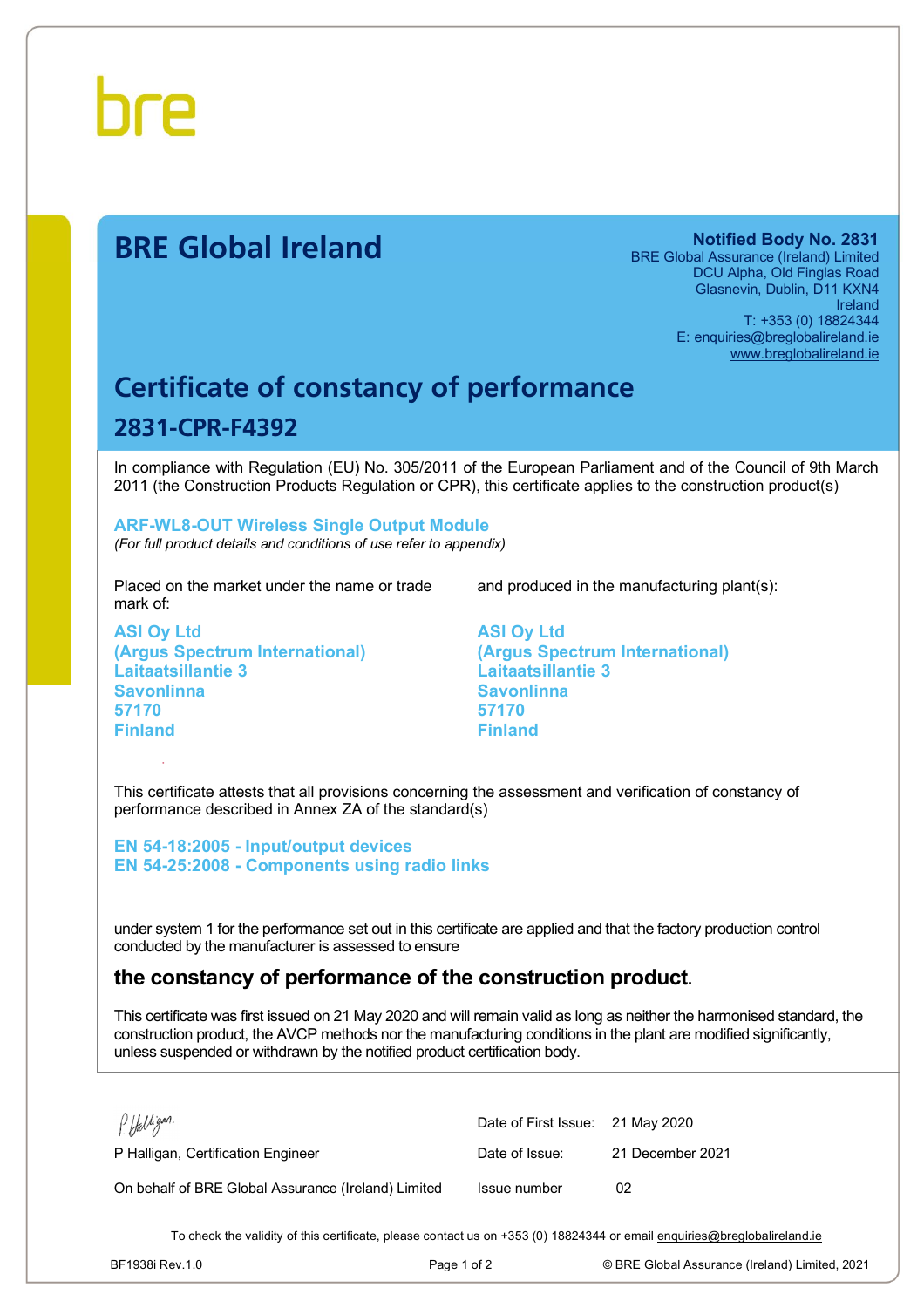

# **BRE Global Ireland Notified Body No. 2831**

BRE Global Assurance (Ireland) Limited DCU Alpha, Old Finglas Road Glasnevin, Dublin, D11 KXN4 Ireland T: +353 (0) 18824344 E: [enquiries@breglobalireland.ie](mailto:enquiries@breglobalireland.ie) [www.breglobalireland.ie](http://www.breglobalireland.ie)

# **Certificate of constancy of performance 2831-CPR-F4392**

In compliance with Regulation (EU) No. 305/2011 of the European Parliament and of the Council of 9th March 2011 (the Construction Products Regulation or CPR), this certificate applies to the construction product(s)

# **ARF-WL8-OUT Wireless Single Output Module**

*(For full product details and conditions of use refer to appendix)* 

Placed on the market under the name or trade mark of:

**ASI Oy Ltd (Argus Spectrum International) Laitaatsillantie 3 Savonlinna 57170 Finland** 

and produced in the manufacturing plant(s):

**ASI Oy Ltd (Argus Spectrum International) Laitaatsillantie 3 Savonlinna 57170 Finland** 

This certificate attests that all provisions concerning the assessment and verification of constancy of performance described in Annex ZA of the standard(s)

**EN 54-18:2005 - Input/output devices EN 54-25:2008 - Components using radio links** 

under system 1 for the performance set out in this certificate are applied and that the factory production control conducted by the manufacturer is assessed to ensure

## **the constancy of performance of the construction product.**

This certificate was first issued on 21 May 2020 and will remain valid as long as neither the harmonised standard, the construction product, the AVCP methods nor the manufacturing conditions in the plant are modified significantly, unless suspended or withdrawn by the notified product certification body.

| P. Halligan.                                        | Date of First Issue: 21 May 2020 |                  |
|-----------------------------------------------------|----------------------------------|------------------|
| P Halligan, Certification Engineer                  | Date of Issue:                   | 21 December 2021 |
| On behalf of BRE Global Assurance (Ireland) Limited | Issue number                     | 02               |

To check the validity of this certificate, please contact us on +353 (0) 18824344 or email [enquiries@breglobalireland.ie](mailto:enquiries@breglobalireland.ie)